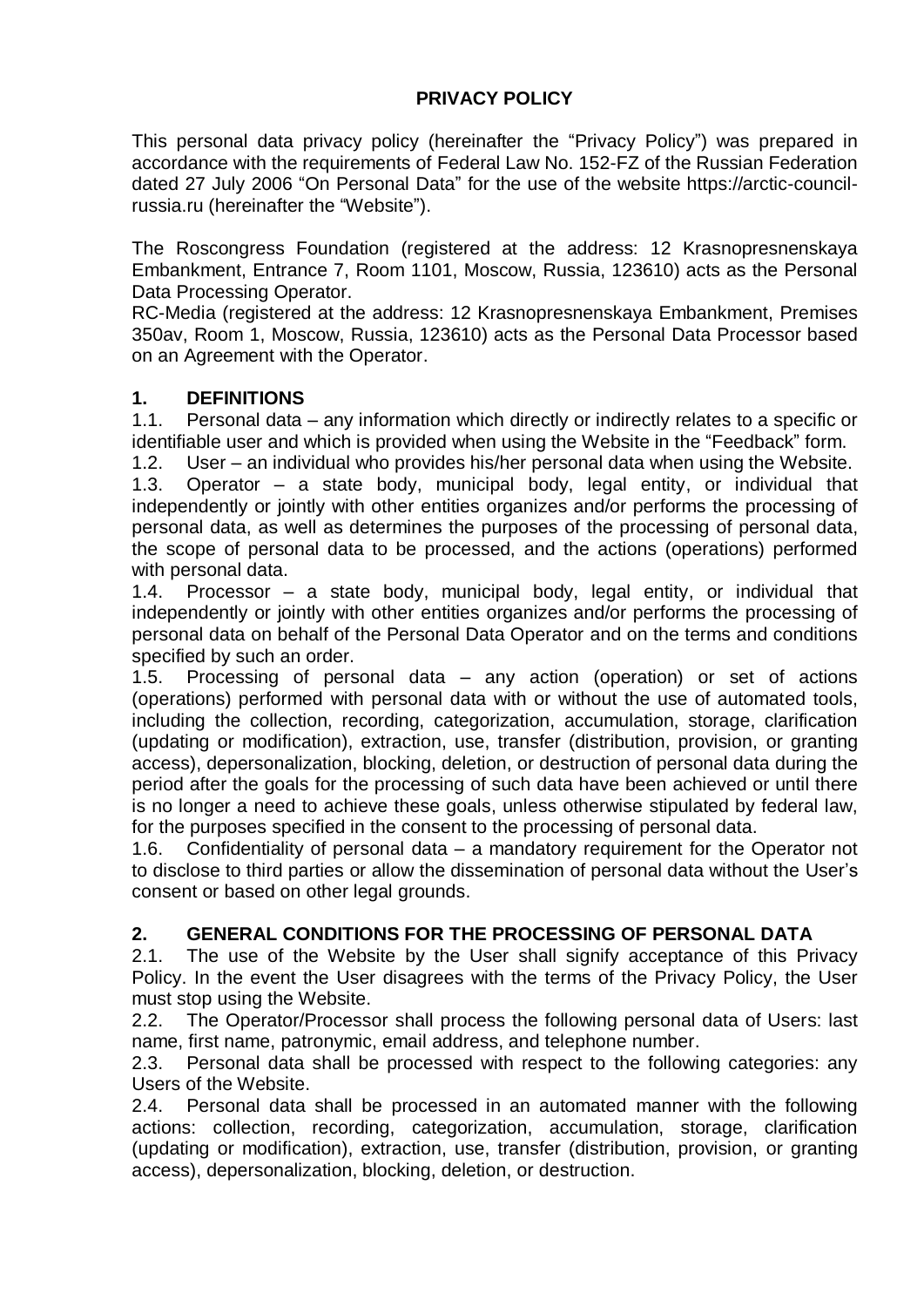### **PRIVACY POLICY**

This personal data privacy policy (hereinafter the "Privacy Policy") was prepared in accordance with the requirements of Federal Law No. 152-FZ of the Russian Federation dated 27 July 2006 "On Personal Data" for the use of the website https://arctic-councilrussia.ru (hereinafter the "Website").

The Roscongress Foundation (registered at the address: 12 Krasnopresnenskaya Embankment, Entrance 7, Room 1101, Moscow, Russia, 123610) acts as the Personal Data Processing Operator.

RC-Media (registered at the address: 12 Krasnopresnenskaya Embankment, Premises 350av, Room 1, Moscow, Russia, 123610) acts as the Personal Data Processor based on an Agreement with the Operator.

### **1. DEFINITIONS**

1.1. Personal data – any information which directly or indirectly relates to a specific or identifiable user and which is provided when using the Website in the "Feedback" form.

1.2. User – an individual who provides his/her personal data when using the Website.

1.3. Operator – a state body, municipal body, legal entity, or individual that independently or jointly with other entities organizes and/or performs the processing of personal data, as well as determines the purposes of the processing of personal data, the scope of personal data to be processed, and the actions (operations) performed with personal data.

1.4. Processor – a state body, municipal body, legal entity, or individual that independently or jointly with other entities organizes and/or performs the processing of personal data on behalf of the Personal Data Operator and on the terms and conditions specified by such an order.

1.5. Processing of personal data – any action (operation) or set of actions (operations) performed with personal data with or without the use of automated tools, including the collection, recording, categorization, accumulation, storage, clarification (updating or modification), extraction, use, transfer (distribution, provision, or granting access), depersonalization, blocking, deletion, or destruction of personal data during the period after the goals for the processing of such data have been achieved or until there is no longer a need to achieve these goals, unless otherwise stipulated by federal law, for the purposes specified in the consent to the processing of personal data.

1.6. Confidentiality of personal data – a mandatory requirement for the Operator not to disclose to third parties or allow the dissemination of personal data without the User's consent or based on other legal grounds.

### **2. GENERAL CONDITIONS FOR THE PROCESSING OF PERSONAL DATA**

2.1. The use of the Website by the User shall signify acceptance of this Privacy Policy. In the event the User disagrees with the terms of the Privacy Policy, the User must stop using the Website.

2.2. The Operator/Processor shall process the following personal data of Users: last name, first name, patronymic, email address, and telephone number.

2.3. Personal data shall be processed with respect to the following categories: any Users of the Website.

2.4. Personal data shall be processed in an automated manner with the following actions: collection, recording, categorization, accumulation, storage, clarification (updating or modification), extraction, use, transfer (distribution, provision, or granting access), depersonalization, blocking, deletion, or destruction.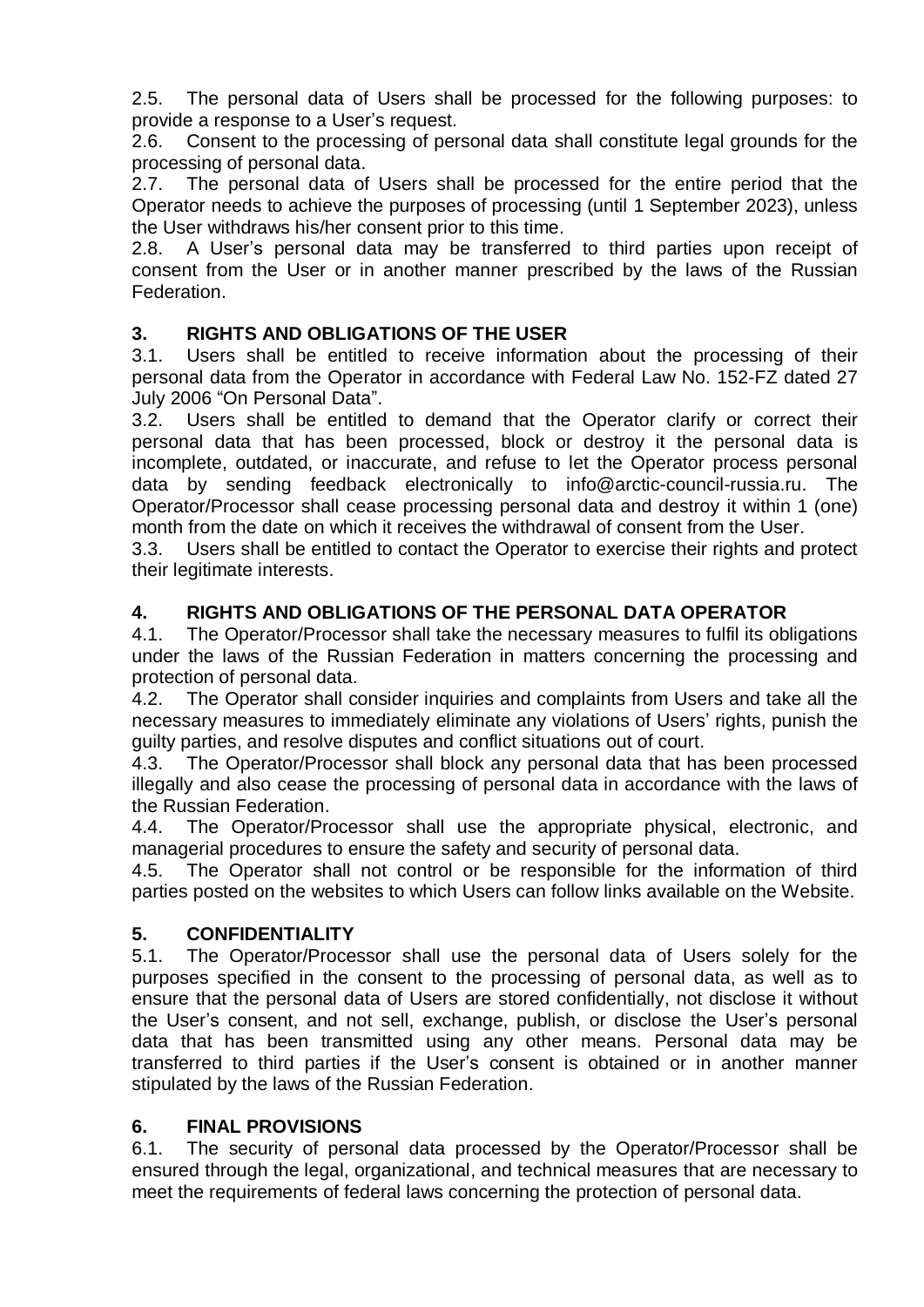2.5. The personal data of Users shall be processed for the following purposes: to provide a response to a User's request.

2.6. Consent to the processing of personal data shall constitute legal grounds for the processing of personal data.

2.7. The personal data of Users shall be processed for the entire period that the Operator needs to achieve the purposes of processing (until 1 September 2023), unless the User withdraws his/her consent prior to this time.

2.8. A User's personal data may be transferred to third parties upon receipt of consent from the User or in another manner prescribed by the laws of the Russian Federation.

### **3. RIGHTS AND OBLIGATIONS OF THE USER**

3.1. Users shall be entitled to receive information about the processing of their personal data from the Operator in accordance with Federal Law No. 152-FZ dated 27 July 2006 "On Personal Data".

3.2. Users shall be entitled to demand that the Operator clarify or correct their personal data that has been processed, block or destroy it the personal data is incomplete, outdated, or inaccurate, and refuse to let the Operator process personal data by sending feedback electronically to info@arctic-council-russia.ru. The Operator/Processor shall cease processing personal data and destroy it within 1 (one) month from the date on which it receives the withdrawal of consent from the User.

3.3. Users shall be entitled to contact the Operator to exercise their rights and protect their legitimate interests.

# **4. RIGHTS AND OBLIGATIONS OF THE PERSONAL DATA OPERATOR**

4.1. The Operator/Processor shall take the necessary measures to fulfil its obligations under the laws of the Russian Federation in matters concerning the processing and protection of personal data.

4.2. The Operator shall consider inquiries and complaints from Users and take all the necessary measures to immediately eliminate any violations of Users' rights, punish the guilty parties, and resolve disputes and conflict situations out of court.

4.3. The Operator/Processor shall block any personal data that has been processed illegally and also cease the processing of personal data in accordance with the laws of the Russian Federation.

4.4. The Operator/Processor shall use the appropriate physical, electronic, and managerial procedures to ensure the safety and security of personal data.

4.5. The Operator shall not control or be responsible for the information of third parties posted on the websites to which Users can follow links available on the Website.

# **5. CONFIDENTIALITY**

5.1. The Operator/Processor shall use the personal data of Users solely for the purposes specified in the consent to the processing of personal data, as well as to ensure that the personal data of Users are stored confidentially, not disclose it without the User's consent, and not sell, exchange, publish, or disclose the User's personal data that has been transmitted using any other means. Personal data may be transferred to third parties if the User's consent is obtained or in another manner stipulated by the laws of the Russian Federation.

### **6. FINAL PROVISIONS**

6.1. The security of personal data processed by the Operator/Processor shall be ensured through the legal, organizational, and technical measures that are necessary to meet the requirements of federal laws concerning the protection of personal data.